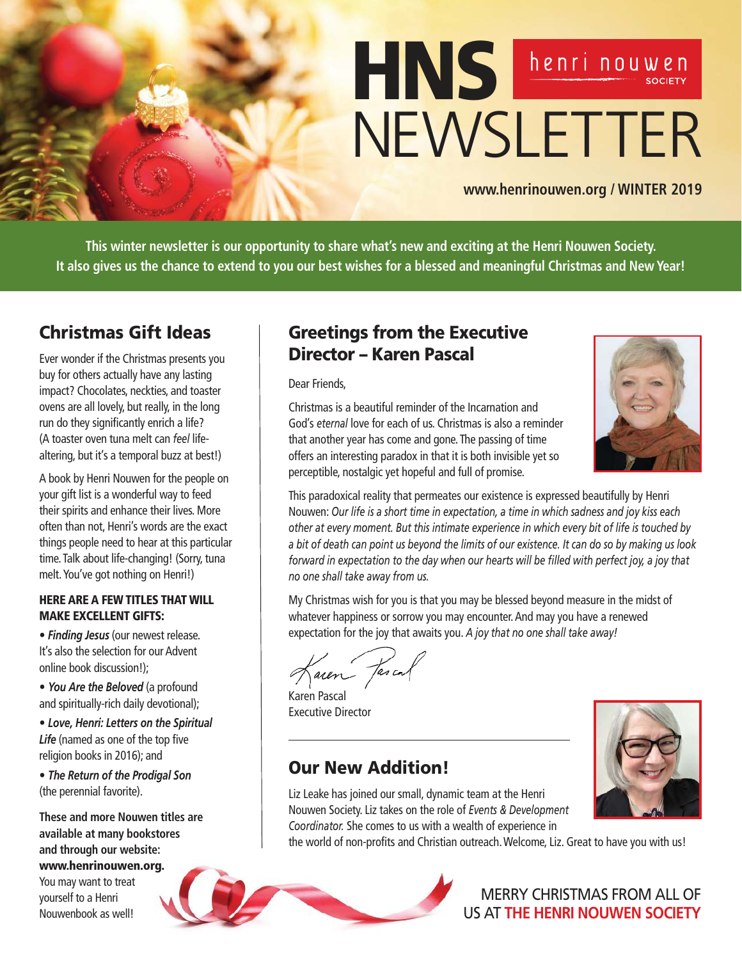

**www.henrinouwen.org / WINTER 2019**

**This winter newsletter is our opportunity to share what's new and exciting at the Henri Nouwen Society. It also gives us the chance to extend to you our best wishes for a blessed and meaningful Christmas and New Year!**

# Christmas Gift Ideas

Ever wonder if the Christmas presents you buy for others actually have any lasting impact? Chocolates, neckties, and toaster ovens are all lovely, but really, in the long run do they significantly enrich a life? (A toaster oven tuna melt can *feel* lifealtering, but it's a temporal buzz at best!)

A book by Henri Nouwen for the people on your gift list is a wonderful way to feed their spirits and enhance their lives. More often than not, Henri's words are the exact things people need to hear at this particular time. Talk about life-changing! (Sorry, tuna melt. You've got nothing on Henri!)

### HERE ARE A FEW TITLES THAT WILL MAKE EXCELLENT GIFTS:

• *Finding Jesus* (our newest release. It's also the selection for our Advent online book discussion!);

• *You Are the Beloved* (a profound and spiritually-rich daily devotional);

• *Love, Henri: Letters on the Spiritual Life* (named as one of the top five religion books in 2016); and

• *The Return of the Prodigal Son*  (the perennial favorite).

**These and more Nouwen titles are available at many bookstores and through our website:**  www.henrinouwen.org.

You may want to treat yourself to a Henri Nouwenbook as well!

## Greetings from the Executive Director – Karen Pascal

Dear Friends,



Christmas is a beautiful reminder of the Incarnation and God's *eternal* love for each of us. Christmas is also a reminder that another year has come and gone. The passing of time offers an interesting paradox in that it is both invisible yet so perceptible, nostalgic yet hopeful and full of promise.

This paradoxical reality that permeates our existence is expressed beautifully by Henri Nouwen: *Our life is a short time in expectation, a time in which sadness and joy kiss each other at every moment. But this intimate experience in which every bit of life is touched by a bit of death can point us beyond the limits of our existence. It can do so by making us look forward in expectation to the day when our hearts will be filled with perfect joy, a joy that no one shall take away from us.*

My Christmas wish for you is that you may be blessed beyond measure in the midst of whatever happiness or sorrow you may encounter. And may you have a renewed expectation for the joy that awaits you. *A joy that no one shall take away!*

aren fascal

Karen Pascal Executive Director

Our New Addition!

Liz Leake has joined our small, dynamic team at the Henri Nouwen Society. Liz takes on the role of *Events & Development Coordinator.* She comes to us with a wealth of experience in

the world of non-profits and Christian outreach. Welcome, Liz. Great to have you with us!